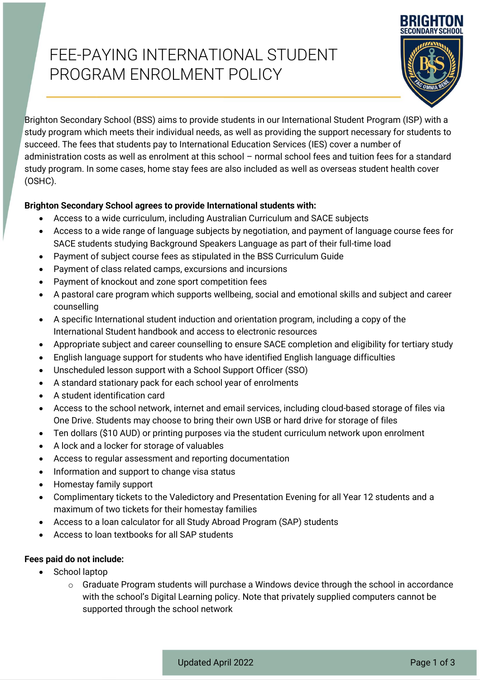# FEE-PAYING INTERNATIONAL STUDENT PROGRAM ENROLMENT POLICY



Brighton Secondary School (BSS) aims to provide students in our International Student Program (ISP) with a study program which meets their individual needs, as well as providing the support necessary for students to succeed. The fees that students pay to International Education Services (IES) cover a number of administration costs as well as enrolment at this school – normal school fees and tuition fees for a standard study program. In some cases, home stay fees are also included as well as overseas student health cover (OSHC).

### **Brighton Secondary School agrees to provide International students with:**

- Access to a wide curriculum, including Australian Curriculum and SACE subjects
- Access to a wide range of language subjects by negotiation, and payment of language course fees for SACE students studying Background Speakers Language as part of their full-time load
- Payment of subject course fees as stipulated in the BSS Curriculum Guide
- Payment of class related camps, excursions and incursions
- Payment of knockout and zone sport competition fees
- A pastoral care program which supports wellbeing, social and emotional skills and subject and career counselling
- A specific International student induction and orientation program, including a copy of the International Student handbook and access to electronic resources
- Appropriate subject and career counselling to ensure SACE completion and eligibility for tertiary study
- English language support for students who have identified English language difficulties
- Unscheduled lesson support with a School Support Officer (SSO)
- A standard stationary pack for each school year of enrolments
- A student identification card
- Access to the school network, internet and email services, including cloud-based storage of files via One Drive. Students may choose to bring their own USB or hard drive for storage of files
- Ten dollars (\$10 AUD) or printing purposes via the student curriculum network upon enrolment
- A lock and a locker for storage of valuables
- Access to regular assessment and reporting documentation
- Information and support to change visa status
- Homestay family support
- Complimentary tickets to the Valedictory and Presentation Evening for all Year 12 students and a maximum of two tickets for their homestay families
- Access to a loan calculator for all Study Abroad Program (SAP) students
- Access to loan textbooks for all SAP students

### **Fees paid do not include:**

- School laptop
	- $\circ$  Graduate Program students will purchase a Windows device through the school in accordance with the school's Digital Learning policy. Note that privately supplied computers cannot be supported through the school network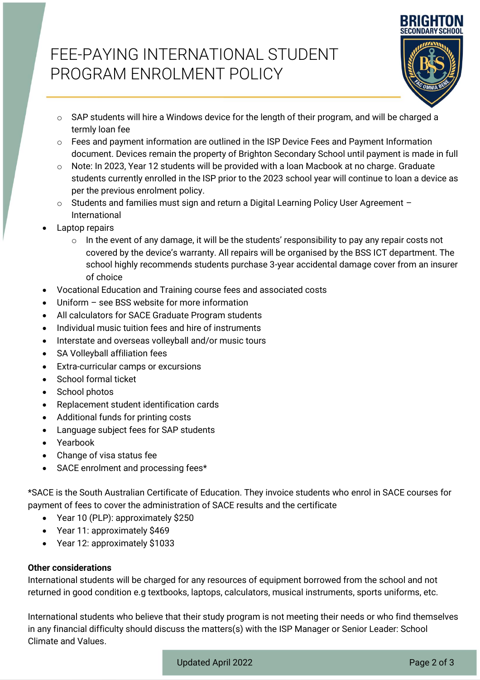## FEE-PAYING INTERNATIONAL STUDENT PROGRAM ENROLMENT POLICY



- $\circ$  SAP students will hire a Windows device for the length of their program, and will be charged a termly loan fee
- $\circ$  Fees and payment information are outlined in the ISP Device Fees and Payment Information document. Devices remain the property of Brighton Secondary School until payment is made in full
- $\circ$  Note: In 2023, Year 12 students will be provided with a loan Macbook at no charge. Graduate students currently enrolled in the ISP prior to the 2023 school year will continue to loan a device as per the previous enrolment policy.
- o Students and families must sign and return a Digital Learning Policy User Agreement International
- Laptop repairs
	- $\circ$  In the event of any damage, it will be the students' responsibility to pay any repair costs not covered by the device's warranty. All repairs will be organised by the BSS ICT department. The school highly recommends students purchase 3-year accidental damage cover from an insurer of choice
- Vocational Education and Training course fees and associated costs
- Uniform  $-$  see BSS website for more information
- All calculators for SACE Graduate Program students
- Individual music tuition fees and hire of instruments
- Interstate and overseas volleyball and/or music tours
- SA Volleyball affiliation fees
- Extra-curricular camps or excursions
- School formal ticket
- School photos
- Replacement student identification cards
- Additional funds for printing costs
- Language subject fees for SAP students
- Yearbook
- Change of visa status fee
- SACE enrolment and processing fees\*

\*SACE is the South Australian Certificate of Education. They invoice students who enrol in SACE courses for payment of fees to cover the administration of SACE results and the certificate

- Year 10 (PLP): approximately \$250
- Year 11: approximately \$469
- Year 12: approximately \$1033

#### **Other considerations**

International students will be charged for any resources of equipment borrowed from the school and not returned in good condition e.g textbooks, laptops, calculators, musical instruments, sports uniforms, etc.

International students who believe that their study program is not meeting their needs or who find themselves in any financial difficulty should discuss the matters(s) with the ISP Manager or Senior Leader: School Climate and Values.

Updated April 2022 **Page 2 of 3**